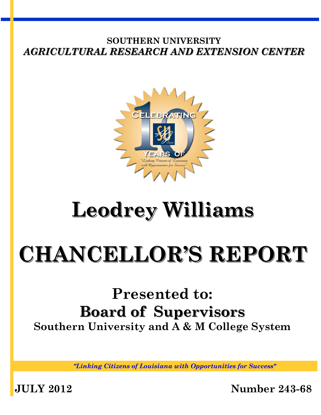

# **Leodrey Williams**

# **CHANCELLOR'S REPORT**

# **Presented to: Board of Supervisors Southern University and A & M College System**

*"Linking Citizens of Louisiana with Opportunities for Success"*

**JULY 2012 Number 243-68**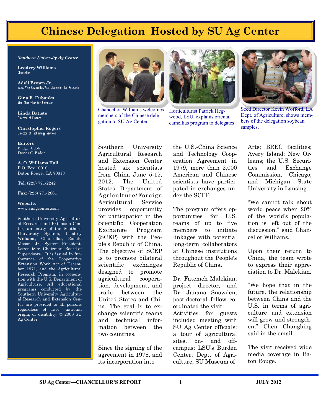## **Chinese Delegation Hosted by SU Ag Center**

#### *Southern University Ag Center*

**Leodrey Williams**  Chancellor

**Adell Brown Jr.**  Exec. Vice Chancellor/Vice Chancellor for Research

**Gina E. Eubanks** Vice Chancellor for Extension

**Linda Batiste** Director of Finance

**Christopher Rogers** Director of Technology Services

**Editors** Bridget Udoh Donna C. Badon

**A. O. Williams Hall** P.O. Box 10010 Baton Rouge, LA 70813

**Tel**: (225) 771-2242

**Fax**: (225) 771-2861

#### **Website**: www.suagcenter.com

Southern University Agricultural Research and Extension Center, an entity of the Southern University System, Leodrey Williams, Chancellor, Ronald Mason, Jr., System President, Darren Mire, Chairman, Board of Supervisors. It is issued in furtherance of the Cooperative Extension Work Act of December 1971, and the Agricultural Research Program, in cooperation with the U.S. Department of Agriculture. All educational programs conducted by the Southern University Agricultural Research and Extension Center are provided to all persons regardless of race, national origin, or disability. © 2008 SU Ag Center.



Chancellor Williams welcomes members of the Chinese delegation to SU Ag Center



Horticulturist Patrick Hegwood, LSU, explains oriental camellias program to delegates



Seed Director Kevin Wofford, LA Dept. of Agriculture, shows members of the delegation soybean samples.

Southern University Agricultural Research and Extension Center hosted six scientists from China June 5-15, 2012. The United States Department of Agriculture/Foreign Agricultural Service provides opportunity for participation in the Scientific Cooperation Exchange Program (SCEP) with the People's Republic of China. The objective of SCEP is to promote bilateral scientific exchanges designed to promote agricultural cooperation, development, and trade between the United States and China. The goal is to exchange scientific teams and technical information between the two countries.

Since the signing of the agreement in 1978, and its incorporation into

the U.S.-China Science and Technology Cooperation Agreement in 1979, more than 2,000 American and Chinese scientists have participated in exchanges under the SCEP.

The program offers opportunities for U.S. teams of up to five members to initiate linkages with potential long-term collaborators at Chinese institutions throughout the People's Republic of China.

Dr. Fatemeh Malekian, project director, and Dr. Janana Snowden, post-doctoral fellow coordinated the visit. Activities for guests included meeting with SU Ag Center officials; a tour of agricultural sites, on- and offcampus; LSU's Burden Center; Dept. of Agriculture; SU Museum of

Arts; BREC facilities; Avery Island; New Orleans; the U.S. Securities and Exchange Commission, Chicago; and Michigan State University in Lansing.

"We cannot talk about world peace when 20% of the world's population is left out of the discussion," said Chancellor Williams.

Upon their return to China, the team wrote to express their appreciation to Dr. Malekian.

"We hope that in the future, the relationship between China and the U.S. in terms of agriculture and extension will grow and strengthen," Chen Changbing said in the email.

The visit received wide media coverage in Baton Rouge.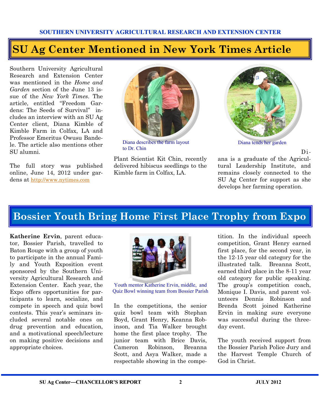## **SU Ag Center Mentioned in New York Times Article**

Southern University Agricultural Research and Extension Center was mentioned in the *Home and Garden* section of the June 13 issue of the *New York Times*. The article, entitled "Freedom Gardens: The Seeds of Survival" includes an interview with an SU Ag Center client, Diana Kimble of Kimble Farm in Colfax, LA and Professor Emeritus Owusu Bandele. The article also mentions other SU alumni.

The full story was published online, June 14, 2012 under gardens at <http://www.nytimes.com>



Diana describes the farm layout to Dr. Chin

Plant Scientist Kit Chin, recently delivered hibiscus seedlings to the Kimble farm in Colfax, LA.



Diana tends her garden

Di-

ana is a graduate of the Agricultural Leadership Institute, and remains closely connected to the SU Ag Center for support as she develops her farming operation.

## **Bossier Youth Bring Home First Place Trophy from Expo**

**Katherine Ervin**, parent educator, Bossier Parish, travelled to Baton Rouge with a group of youth to participate in the annual Family and Youth Exposition event sponsored by the Southern University Agricultural Research and Extension Center. Each year, the Expo offers opportunities for participants to learn, socialize, and compete in speech and quiz bowl contests. This year's seminars included several notable ones on drug prevention and education, and a motivational speech/lecture on making positive decisions and appropriate choices.



Youth mentor Katherine Ervin, middle, and Quiz Bowl winning team from Bossier Parish

In the competitions, the senior quiz bowl team with Stephan Boyd, Grant Henry, Keanna Robinson, and Tia Walker brought home the first place trophy. The junior team with Brice Davis, Cameron Robinson, Breanna Scott, and Asya Walker, made a respectable showing in the compe-

tition. In the individual speech competition, Grant Henry earned first place, for the second year, in the 12-15 year old category for the illustrated talk. Breanna Scott, earned third place in the 8-11 year old category for public speaking. The group's competition coach, Monique I. Davis, and parent volunteers Dennis Robinson and Brenda Scott joined Katherine Ervin in making sure everyone was successful during the threeday event.

The youth received support from the Bossier Parish Police Jury and the Harvest Temple Church of God in Christ.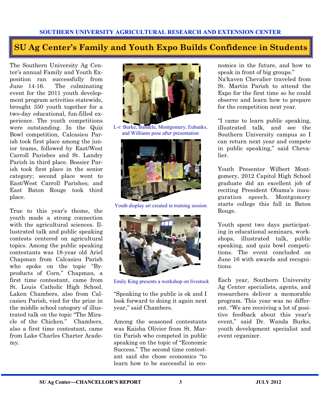#### **SU Ag Center's Family and Youth Expo Builds Confidence in Students**

The Southern University Ag Center's annual Family and Youth Exposition ran successfully from June 14-16. The culminating event for the 2011 youth development program activities statewide, brought 350 youth together for a two-day educational, fun-filled experience. The youth competitions were outstanding. In the Quiz Bowl competition, Calcasieu Parish took first place among the junior teams, followed by East/West Carroll Parishes and St. Landry Parish in third place. Bossier Parish took first place in the senior category; second place went to East/West Carroll Parishes; and East Baton Rouge took third place.

True to this year's theme, the youth made a strong connection with the agricultural sciences. Illustrated talk and public speaking contests centered on agricultural topics. Among the public speaking contestants was 18-year old Ariel Chapman from Calcasieu Parish who spoke on the topic "Byproducts of Corn." Chapman, a first time contestant, came from St. Louis Catholic High School. Laken Chambers, also from Calcasieu Parish, vied for the prize in the middle school category of illustrated talk on the topic "The Miracle of the Chicken." Chambers, also a first time contestant, came from Lake Charles Charter Academy.



L-r: Burke, Bandele, Montgomery, Eubanks, and Williams pose after presentation



Youth display art created in training session



Emily King presents a workshop on livestock

"Speaking to the public is ok and I look forward to doing it again next year," said Chambers.

Among the seasoned contestants was Kaisha Olivier from St. Martin Parish who competed in public speaking on the topic of "Economic Success." The second time contestant said she chose economics "to learn how to be successful in economics in the future, and how to speak in front of big groups." Na'kaven Chevalier traveled from St. Martin Parish to attend the Expo for the first time so he could observe and learn how to prepare for the competition next year.

"I came to learn public speaking, illustrated talk, and see the Southern University campus so I can return next year and compete in public speaking," said Chevalier.

Youth Presenter Wilbert Montgomery, 2012 Capitol High School graduate did an excellent job of reciting President Obama's inauguration speech. Montgomery starts college this fall in Baton Rouge.

Youth spent two days participating in educational seminars, workshops, illustrated talk, public speaking, and quiz bowl competitions. The event concluded on June 16 with awards and recognitions.

Each year, Southern University Ag Center specialists, agents, and researchers deliver a memorable program. This year was no different. "We are receiving a lot of positive feedback about this year's event," said Dr. Wanda Burke, youth development specialist and event organizer.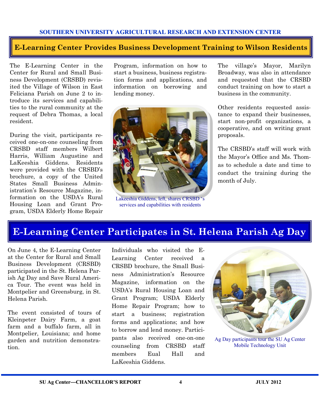#### **E-Learning Center Provides Business Development Training to Wilson Residents**

The E-Learning Center in the Center for Rural and Small Business Development (CRSBD) revisited the Village of Wilson in East Feliciana Parish on June 2 to introduce its services and capabilities to the rural community at the request of Debra Thomas, a local resident.

During the visit, participants received one-on-one counseling from CRSBD staff members Wilbert Harris, William Augustine and LaKeeshia Giddens. Residents were provided with the CRSBD's brochure, a copy of the United States Small Business Administration's Resource Magazine, information on the USDA's Rural Housing Loan and Grant Program, USDA Elderly Home Repair

Program, information on how to start a business, business registration forms and applications, and information on borrowing and lending money.



Lakeeshia Giddens, left, shares CRSBD 's services and capabilities with residents

The village's Mayor, Marilyn Broadway, was also in attendance and requested that the CRSBD conduct training on how to start a business in the community.

Other residents requested assistance to expand their businesses, start non-profit organizations, a cooperative, and on writing grant proposals.

The CRSBD's staff will work with the Mayor's Office and Ms. Thomas to schedule a date and time to conduct the training during the month of July.

## **E-Learning Center Participates in St. Helena Parish Ag Day**

On June 4, the E-Learning Center at the Center for Rural and Small Business Development (CRSBD) participated in the St. Helena Parish Ag Day and Save Rural America Tour. The event was held in Montpelier and Greensburg, in St. Helena Parish.

The event consisted of tours of Kleinpeter Dairy Farm, a goat farm and a buffalo farm, all in Montpelier, Louisiana; and home garden and nutrition demonstration.

Individuals who visited the E-Learning Center received a CRSBD brochure, the Small Business Administration's Resource Magazine, information on the USDA's Rural Housing Loan and Grant Program; USDA Elderly Home Repair Program; how to start a business; registration forms and applications; and how to borrow and lend money. Participants also received one-on-one counseling from CRSBD staff members Eual Hall and LaKeeshia Giddens.



Ag Day participants tour the SU Ag Center Mobile Technology Unit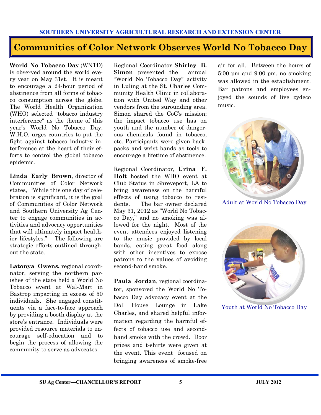#### **Communities of Color Network Observes World No Tobacco Day**

**World No Tobacco Day** (WNTD) is observed around the world every year on May 31st. It is meant to encourage a 24-hour period of abstinence from all forms of tobacco consumption across the globe. The World Health Organization (WHO) selected "tobacco industry interference" as the theme of this year's World No Tobacco Day. W.H.O. urges countries to put the fight against tobacco industry interference at the heart of their efforts to control the global tobacco epidemic.

**Linda Early Brown**, director of Communities of Color Network states, "While this one day of celebration is significant, it is the goal of Communities of Color Network and Southern University Ag Center to engage communities in activities and advocacy opportunities that will ultimately impact healthier lifestyles." The following are strategic efforts outlined throughout the state.

**Latonya Owens,** regional coordinator, serving the northern parishes of the state held a World No Tobacco event at Wal-Mart in Bastrop impacting in excess of 50 individuals. She engaged constituents via a face-to-face approach by providing a booth display at the store's entrance. Individuals were provided resource materials to encourage self-education and to begin the process of allowing the community to serve as advocates.

Regional Coordinator **Shirley B. Simon** presented the annual "World No Tobacco Day" activity in Luling at the St. Charles Community Health Clinic in collaboration with United Way and other vendors from the surounding area. Simon shared the CoC's mission; the impact tobacco use has on youth and the number of dangerous chemicals found in tobacco, etc. Participants were given backpacks and wrist bands as tools to encourage a lifetime of abstinence.

Regional Coordinator, **Urina F. Holt** hosted the WHO event at Club Status in Shreveport, LA to bring awareness on the harmful effects of using tobacco to residents. The bar owner declared May 31, 2012 as "World No Tobacco Day," and no smoking was allowed for the night. Most of the event attendees enjoyed listening to the music provided by local bands, eating great food along with other incentives to expose patrons to the values of avoiding second-hand smoke.

**Paula Jordan**, regional coordinator, sponsored the World No Tobacco Day advocacy event at the Doll House Lounge in Lake Charles, and shared helpful information regarding the harmful effects of tobacco use and secondhand smoke with the crowd. Door prizes and t-shirts were given at the event. This event focused on bringing awareness of smoke-free

air for all. Between the hours of 5:00 pm and 9:00 pm, no smoking was allowed in the establishment. Bar patrons and employees enjoyed the sounds of live zydeco music.



Adult at World No Tobacco Day



Youth at World No Tobacco Day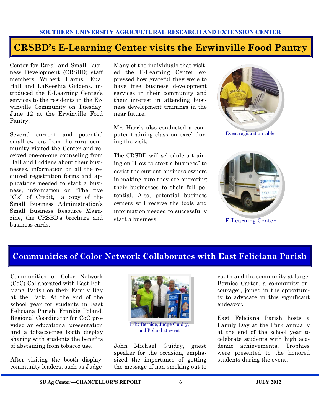#### **CRSBD's E-Learning Center visits the Erwinville Food Pantry**

Center for Rural and Small Business Development (CRSBD) staff members Wilbert Harris, Eual Hall and LaKeeshia Giddens, introduced the E-Learning Center's services to the residents in the Erwinville Community on Tuesday, June 12 at the Erwinville Food Pantry.

Several current and potential small owners from the rural community visited the Center and received one-on-one counseling from Hall and Giddens about their businesses, information on all the required registration forms and applications needed to start a business, information on "The five "C's" of Credit," a copy of the Small Business Administration's Small Business Resource Magazine, the CRSBD's brochure and business cards.

Many of the individuals that visited the E-Learning Center expressed how grateful they were to have free business development services in their community and their interest in attending business development trainings in the near future.

Mr. Harris also conducted a computer training class on excel during the visit.

The CRSBD will schedule a training on "How to start a business" to assist the current business owners in making sure they are operating their businesses to their full potential. Also, potential business owners will receive the tools and information needed to successfully start a business.



Event registration table



E-Learning Center

#### **Communities of Color Network Collaborates with East Feliciana Parish**

Communities of Color Network (CoC) Collaborated with East Feliciana Parish on their Family Day at the Park. At the end of the school year for students in East Feliciana Parish. Frankie Poland, Regional Coordinator for CoC provided an educational presentation and a tobacco-free booth display sharing with students the benefits of abstaining from tobacco use.

After visiting the booth display, community leaders, such as Judge

![](_page_6_Picture_14.jpeg)

L-R: Bernice, Judge Guidry, and Poland at event

John Michael Guidry, guest speaker for the occasion, emphasized the importance of getting the message of non-smoking out to

youth and the community at large. Bernice Carter, a community encourager, joined in the opportunity to advocate in this significant endeavor.

East Feliciana Parish hosts a Family Day at the Park annually at the end of the school year to celebrate students with high academic achievements. Trophies were presented to the honored students during the event.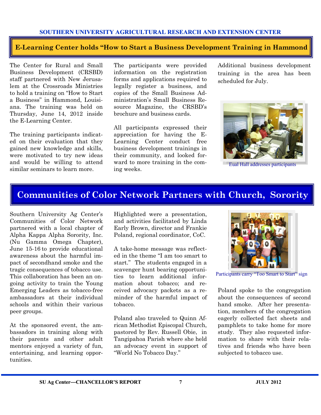#### **E-Learning Center holds "How to Start a Business Development Training in Hammond**

The Center for Rural and Small Business Development (CRSBD) staff partnered with New Jerusalem at the Crossroads Ministries to hold a training on "How to Start a Business" in Hammond, Louisiana. The training was held on Thursday, June 14, 2012 inside the E-Learning Center.

The training participants indicated on their evaluation that they gained new knowledge and skills, were motivated to try new ideas and would be willing to attend similar seminars to learn more.

The participants were provided information on the registration forms and applications required to legally register a business, and copies of the Small Business Administration's Small Business Resource Magazine, the CRSBD's brochure and business cards.

All participants expressed their appreciation for having the E-Learning Center conduct free business development trainings in their community, and looked forward to more training in the coming weeks.

Additional business development training in the area has been scheduled for July.

![](_page_7_Picture_7.jpeg)

Eual Hall addresses participants

#### **Communities of Color Network Partners with Church, Sorority**

Southern University Ag Center's Communities of Color Network partnered with a local chapter of Alpha Kappa Alpha Sorority, Inc. (Nu Gamma Omega Chapter), June 15-16 to provide educational awareness about the harmful impact of secondhand smoke and the tragic consequences of tobacco use. This collaboration has been an ongoing activity to train the Young Emerging Leaders as tobacco-free ambassadors at their individual schools and within their various peer groups.

At the sponsored event, the ambassadors in training along with their parents and other adult mentors enjoyed a variety of fun, entertaining, and learning opportunities.

Highlighted were a presentation, and activities facilitated by Linda Early Brown, director and Frankie Poland, regional coordinator, CoC.

A take-home message was reflected in the theme "I am too smart to start." The students engaged in a scavenger hunt bearing opportunities to learn additional information about tobacco; and received advocacy packets as a reminder of the harmful impact of tobacco.

Poland also traveled to Quinn African Methodist Episcopal Church, pastored by Rev. Russell Obie, in Tangipahoa Parish where she held an advocacy event in support of "World No Tobacco Day."

![](_page_7_Picture_15.jpeg)

Participants carry "Too Smart to Start" sign

Poland spoke to the congregation about the consequences of second hand smoke. After her presentation, members of the congregation eagerly collected fact sheets and pamphlets to take home for more study. They also requested information to share with their relatives and friends who have been subjected to tobacco use.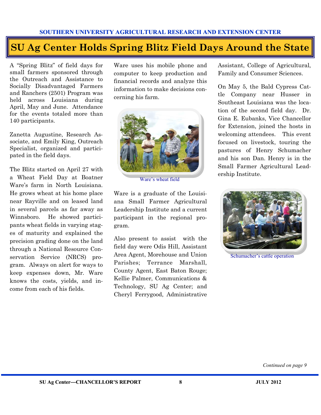## **SU Ag Center Holds Spring Blitz Field Days Around the State**

A "Spring Blitz" of field days for small farmers sponsored through the Outreach and Assistance to Socially Disadvantaged Farmers and Ranchers (2501) Program was held across Louisiana during April, May and June. Attendance for the events totaled more than 140 participants.

Zanetta Augustine, Research Associate, and Emily King, Outreach Specialist, organized and participated in the field days.

The Blitz started on April 27 with a Wheat Field Day at Boatner Ware's farm in North Louisiana. He grows wheat at his home place near Rayville and on leased land in several parcels as far away as Winnsboro. He showed participants wheat fields in varying stages of maturity and explained the precision grading done on the land through a National Resource Conservation Service (NRCS) program. Always on alert for ways to keep expenses down, Mr. Ware knows the costs, yields, and income from each of his fields.

Ware uses his mobile phone and computer to keep production and financial records and analyze this information to make decisions concerning his farm.

![](_page_8_Picture_6.jpeg)

Ware's wheat field

Ware is a graduate of the Louisiana Small Farmer Agricultural Leadership Institute and a current participant in the regional program.

Also present to assist with the field day were Odis Hill, Assistant Area Agent, Morehouse and Union Parishes; Terrance Marshall, County Agent, East Baton Rouge; Kellie Palmer, Communications & Technology, SU Ag Center; and Cheryl Ferrygood, Administrative Assistant, College of Agricultural, Family and Consumer Sciences.

On May 5, the Bald Cypress Cattle Company near Husser in Southeast Louisiana was the location of the second field day. Dr. Gina E. Eubanks, Vice Chancellor for Extension, joined the hosts in welcoming attendees. This event focused on livestock, touring the pastures of Henry Schumacher and his son Dan. Henry is in the Small Farmer Agricultural Leadership Institute.

![](_page_8_Picture_12.jpeg)

Schumacher's cattle operation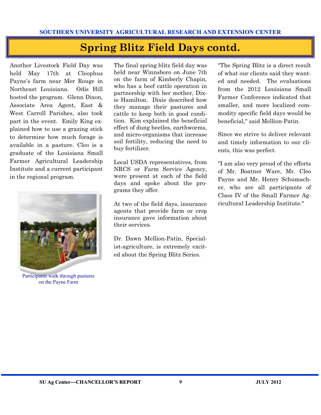## **Spring Blitz Field Days contd.**

Another Livestock Field Day was held May 17th at Cleophus Payne's farm near Mer Rouge in Northeast Louisiana. Odis Hill hosted the program. Glenn Dixon, Associate Area Agent, East & West Carroll Parishes, also took part in the event. Emily King explained how to use a grazing stick to determine how much forage is available in a pasture. Cleo is a graduate of the Louisiana Small Farmer Agricultural Leadership Institute and a current participant in the regional program.

![](_page_9_Picture_3.jpeg)

Participants walk through pastures on the Payne Farm

The final spring blitz field day was held near Winnsboro on June 7th on the farm of Kimberly Chapin, who has a beef cattle operation in partnership with her mother, Dixie Hamilton. Dixie described how they manage their pastures and cattle to keep both in good condition. Kim explained the beneficial effect of dung beetles, earthworms, and micro-organisms that increase soil fertility, reducing the need to buy fertilizer.

Local USDA representatives, from NRCS or Farm Service Agency, were present at each of the field days and spoke about the programs they offer.

At two of the field days, insurance agents that provide farm or crop insurance gave information about their services.

Dr. Dawn Mellion-Patin, Specialist-agriculture, is extremely excited about the Spring Blitz Series.

"The Spring Blitz is a direct result of what our clients said they wanted and needed. The evaluations from the 2012 Louisiana Small Farmer Conference indicated that smaller, and more localized commodity specific field days would be beneficial," said Mellion-Patin.

Since we strive to deliver relevant and timely information to our clients, this was perfect.

"I am also very proud of the efforts of Mr. Boatner Ware, Mr. Cleo Payne and Mr. Henry Schumacher, who are all participants of Class IV of the Small Farmer Agricultural Leadership Institute."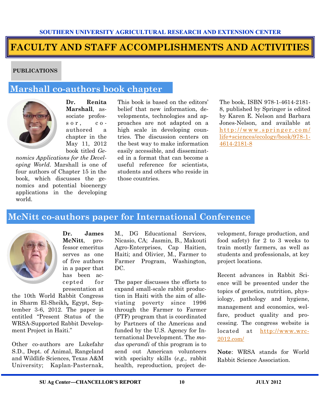## **FACULTY AND STAFF ACCOMPLISHMENTS AND ACTIVITIES**

#### **PUBLICATIONS**

#### **Marshall co-authors book chapter**

![](_page_10_Picture_4.jpeg)

**Dr. Renita Marshall**, associate profes $s \circ r$ ,  $c \circ$ authored a chapter in the May 11, 2012 book titled *Ge-*

*nomics Applications for the Developing World*. Marshall is one of four authors of Chapter 15 in the book, which discusses the genomics and potential bioenergy applications in the developing world.

This book is based on the editors' belief that new information, developments, technologies and approaches are not adapted on a high scale in developing countries. The discussion centers on the best way to make information easily accessible, and disseminated in a format that can become a useful reference for scientists, students and others who reside in those countries.

The book, ISBN 978-1-4614-2181- 8, published by Springer is edited by Karen E. Nelson and Barbara Jones-Nelson, and available at http://www.springer.com/ [life+sciences/ecology/book/978-1-](http://www.springer.com/life+sciences/ecology/book/978-1-4614-2181-8) [4614-2181-8](http://www.springer.com/life+sciences/ecology/book/978-1-4614-2181-8)

#### **McNitt co-authors paper for International Conference**

![](_page_10_Picture_10.jpeg)

**Dr. James McNitt**, professor emeritus serves as one of five authors in a paper that has been accepted for presentation at

the 10th World Rabbit Congress in Sharm El-Sheikh*,* Egypt, September 3-6, 2012. The paper is entitled "Present Status of the WRSA-Supported Rabbit Development Project in Haiti."

Other co-authors are Lukefahr S.D., Dept. of Animal, Rangeland and Wildlife Sciences, Texas A&M University; Kaplan-Pasternak,

M., DG Educational Services, Nicasio, CA; Jasmin, B., Makouti Agro-Enterprises, Cap Haitien, Haiti; and Olivier, M., Farmer to Farmer Program, Washington, DC.

The paper discusses the efforts to expand small-scale rabbit production in Haiti with the aim of alleviating poverty since 1996 through the Farmer to Farmer (FTF) program that is coordinated by Partners of the Americas and funded by the U.S. Agency for International Development. The *modus operandi* of this program is to send out American volunteers with specialty skills (*e.g.,* rabbit health, reproduction, project development, forage production, and food safety) for 2 to 3 weeks to train mostly farmers, as well as students and professionals, at key project locations.

Recent advances in Rabbit Science will be presented under the topics of genetics, nutrition, physiology, pathology and hygiene, management and economics, welfare, product quality and processing. The congress website is located at [http://www.wrc-](http://www.wrc-2012.com/)[2012.com/](http://www.wrc-2012.com/)

**Note**: WRSA stands for World Rabbit Science Association.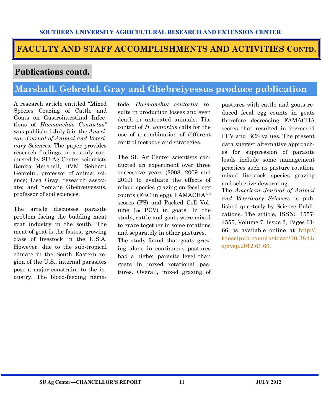#### **FACULTY AND STAFF ACCOMPLISHMENTS AND ACTIVITIES CONTD.**

#### **Publications contd.**

### **Marshall, Gebrelul, Gray and Ghebreiyessus produce publication**

A research article entitled "Mixed Species Grazing of Cattle and Goats on Gastrointestinal Infections of *Haemonchus Contortus"*  was published July 5 in the *American Journal of Animal and Veterinary Sciences.* The paper provides research findings on a study conducted by SU Ag Center scientists Renita Marshall, DVM; Sebhatu Gebrelul, professor of animal science; Lisa Gray, research associate; and Yemane Ghebreiyessus, professor of soil sciences.

The article discusses parasite problem facing the budding meat goat industry in the south. The meat of goat is the fastest growing class of livestock in the U.S.A. However, due to the sub-tropical climate in the South Eastern region of the U.S., internal parasites pose a major constraint to the industry. The blood-feeding nematode, *Haemonchus contortus* results in production losses and even death in untreated animals. The control of *H. contortus* calls for the use of a combination of different control methods and strategies.

The SU Ag Center scientists conducted an experiment over three successive years (2008, 2009 and 2010) to evaluate the effects of mixed species grazing on fecal egg counts (FEC in epg), FAMACH $A^{\hat{A}\circ}$ scores (FS) and Packed Cell Volume (% PCV) in goats. In the study, cattle and goats were mixed to graze together in some rotations and separately in other pastures. The study found that goats grazing alone in continuous pastures had a higher parasite level than goats in mixed rotational pastures. Overall, mixed grazing of pastures with cattle and goats reduced fecal egg counts in goats therefore decreasing FAMACHA scores that resulted in increased PCV and BCS values. The present data suggest alternative approaches for suppression of parasite loads include some management practices such as pasture rotation, mixed livestock species grazing and selective deworming.

The *American Journal of Animal and Veterinary Sciences* is published quarterly by Science Publications. The article, **ISSN:** 1557- 4555, Volume 7, Issue 2, Pages 61- 66, is available online at [http://](http://thescipub.com/abstract/10.3844/ajavsp.2012.61.66) [thescipub.com/abstract/10.3844/](http://thescipub.com/abstract/10.3844/ajavsp.2012.61.66) [ajavsp.2012.61.66.](http://thescipub.com/abstract/10.3844/ajavsp.2012.61.66)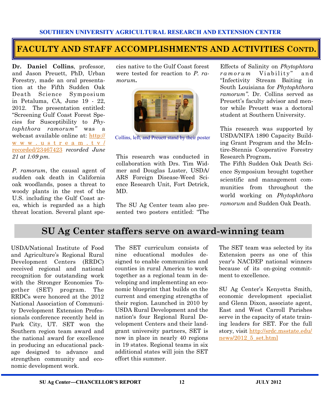#### **FACULTY AND STAFF ACCOMPLISHMENTS AND ACTIVITIES CONTD.**

**Dr. Daniel Collins**, professor, and Jason Preuett, PhD, Urban Forestry, made an oral presentation at the Fifth Sudden Oak Death Science Symposium in Petaluma, CA, June 19 - 22, 2012. The presentation entitled: "Screening Gulf Coast Forest Species for Susceptibility to *Phytophthora ramorum"* was a webcast available online at: [http://](http://www.ustream.tv/recorded/23467423) [w w w . u s t r e a m . t v /](http://www.ustream.tv/recorded/23467423) [recorded/23467423](http://www.ustream.tv/recorded/23467423) *recorded June 21 at 1:09 pm.*

*P. ramorum*, the causal agent of sudden oak death in California oak woodlands, poses a threat to woody plants in the rest of the U.S. including the Gulf Coast area, which is regarded as a high threat location. Several plant species native to the Gulf Coast forest were tested for reaction to *P. ramorum***.**

![](_page_12_Picture_5.jpeg)

Collins, left, and Preuett stand by their poster

This research was conducted in collaboration with Drs. Tim Widmer and Douglas Luster, USDA/ ARS Foreign Disease-Weed Science Research Unit, Fort Detrick, MD.

The SU Ag Center team also presented two posters entitled: "The

Effects of Salinity on *Phytophtora ramorum* Viability" and "Infectivity Stream Baiting in South Louisiana for *Phytophthora ramorum"*. Dr. Collins served as Preuett's faculty advisor and mentor while Preuett was a doctoral student at Southern University.

This research was supported by USDA/NIFA 1890 Capacity Building Grant Program and the McIntire-Stennis Cooperative Forestry Research Program**.**

The Fifth Sudden Oak Death Science Symposium brought together scientific and management communities from throughout the world working on *Phytophthora ramorum* and Sudden Oak Death.

#### **SU Ag Center staffers serve on award-winning team**

USDA/National Institute of Food and Agriculture's Regional Rural Development Centers (RRDC) received regional and national recognition for outstanding work with the Stronger Economies Together (SET) program. The RRDCs were honored at the 2012 [National Association of Communi](http://nacdep.net/)[ty Development Extension P](http://nacdep.net/)rofessionals conference recently held in Park City, UT. SET won the Southern region team award and the national award for excellence in producing an educational package designed to advance and strengthen community and economic development work.

The SET curriculum consists of nine educational modules designed to enable communities and counties in rural America to work together as a regional team in developing and implementing an economic blueprint that builds on the current and emerging strengths of their region. Launched in 2010 by [USDA Rural Development a](http://www.rurdev.usda.gov/Home.html)nd the nation's four Regional Rural Development Centers and their landgrant university partners, SET is now in place in nearly 40 regions in 19 states. Regional teams in six additional states will join the SET effort this summer.

The SET team was selected by its Extension peers as one of this year's NACDEP national winners because of its on-going commitment to excellence.

SU Ag Center's Kenyetta Smith, economic development specialist and Glenn Dixon, associate agent, East and West Carroll Parishes serve in the capacity of state training leaders for SET. For the full story, visit [http://srdc.msstate.edu/](http://srdc.msstate.edu/news/2012_5_set.html) [news/2012\\_5\\_set.html](http://srdc.msstate.edu/news/2012_5_set.html)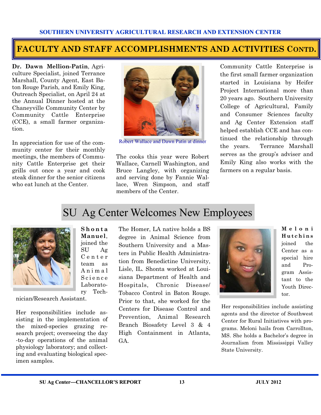#### **FACULTY AND STAFF ACCOMPLISHMENTS AND ACTIVITIES CONTD.**

**Dr. Dawn Mellion-Patin**, Agriculture Specialist, joined Terrance Marshall, County Agent, East Baton Rouge Parish, and Emily King, Outreach Specialist, on April 24 at the Annual Dinner hosted at the Chaneyville Community Center by Community Cattle Enterprise (CCE), a small farmer organization.

In appreciation for use of the community center for their monthly meetings, the members of Community Cattle Enterprise get their grills out once a year and cook steak dinner for the senior citizens who eat lunch at the Center.

![](_page_13_Picture_4.jpeg)

Robert Wallace and Dawn Patin at dinner

The cooks this year were Robert Wallace, Carnell Washington, and Bruce Langley, with organizing and serving done by Fannie Wallace, Wren Simpson, and staff members of the Center.

Community Cattle Enterprise is the first small farmer organization started in Louisiana by Heifer Project International more than 20 years ago. Southern University College of Agricultural, Family and Consumer Sciences faculty and Ag Center Extension staff helped establish CCE and has continued the relationship through the years. Terrance Marshall serves as the group's adviser and Emily King also works with the farmers on a regular basis.

## SU Ag Center Welcomes New Employees

![](_page_13_Picture_9.jpeg)

**Manuel**, joined the SU Ag C e n t e r team as A n i m a l S c i e n c e Laboratory Tech-

**S h o n t a** 

nician/Research Assistant.

Her responsibilities include assisting in the implementation of the mixed-species grazing research project; overseeing the day -to-day operations of the animal physiology laboratory; and collecting and evaluating biological specimen samples.

The Homer, LA native holds a BS degree in Animal Science from Southern University and a Masters in Public Health Administration from Benedictine University, Lisle, IL. Shonta worked at Louisiana Department of Health and Hospitals, Chronic Disease/ Tobacco Control in Baton Rouge. Prior to that, she worked for the Centers for Disease Control and Prevention, Animal Research Branch Biosafety Level 3 & 4 High Containment in Atlanta, GA.

![](_page_13_Picture_14.jpeg)

**M e l o n i H u t c h i n s** joined the Center as a special hire and Program Assistant to the Youth Director.

Her responsibilities include assisting agents and the director of Southwest Center for Rural Initiatives with programs. Meloni hails from Carrollton, MS. She holds a Bachelor's degree in Journalism from Mississippi Valley State University.